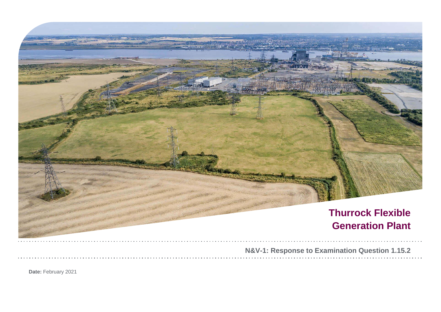

**Date:** February 2021

|  |  |  |  |  |  | ination Question 1.15.2 |  |  |  |  |  |  |  |  |  |  |
|--|--|--|--|--|--|-------------------------|--|--|--|--|--|--|--|--|--|--|
|  |  |  |  |  |  |                         |  |  |  |  |  |  |  |  |  |  |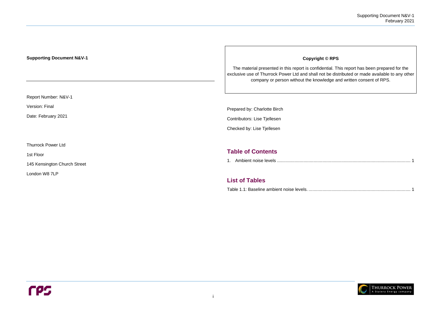## **Supporting Document N&V-1**

Report Number: N&V-1

Version: Final

Date: February 2021

Thurrock Power Ltd

1st Floor

145 Kensington Church Street

London W8 7LP

### **Copyright © RPS**

The material presented in this report is confidential. This report has been prepared for the exclusive use of Thurrock Power Ltd and shall not be distributed or made available to any other company or person without the knowledge and written consent of RPS.

Prepared by: Charlotte Birch

Contributors: Lise Tjellesen

Checked by: Lise Tjellesen

# **Table of Contents**





# **List of Tables**

Table 1.1: Baseline ambient noise levels. [.................................................................................](#page-2-1) 1